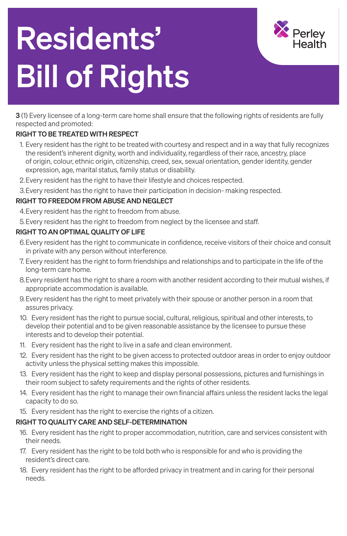# Residents' Bill of Rights



3 (1) Every licensee of a long-term care home shall ensure that the following rights of residents are fully respected and promoted:

### RIGHT TO BE TREATED WITH RESPECT

- 1. Every resident has the right to be treated with courtesy and respect and in a way that fully recognizes the resident's inherent dignity, worth and individuality, regardless of their race, ancestry, place of origin, colour, ethnic origin, citizenship, creed, sex, sexual orientation, gender identity, gender expression, age, marital status, family status or disability.
- 2.Every resident has the right to have their lifestyle and choices respected.
- 3.Every resident has the right to have their participation in decision- making respected.

#### RIGHT TO FREEDOM FROM ABUSE AND NEGLECT

- 4.Every resident has the right to freedom from abuse.
- 5.Every resident has the right to freedom from neglect by the licensee and staff.

## RIGHT TO AN OPTIMAL QUALITY OF LIFE

- 6.Every resident has the right to communicate in confidence, receive visitors of their choice and consult in private with any person without interference.
- 7. Every resident has the right to form friendships and relationships and to participate in the life of the long-term care home.
- 8.Every resident has the right to share a room with another resident according to their mutual wishes, if appropriate accommodation is available.
- 9.Every resident has the right to meet privately with their spouse or another person in a room that assures privacy.
- 10. Every resident has the right to pursue social, cultural, religious, spiritual and other interests, to develop their potential and to be given reasonable assistance by the licensee to pursue these interests and to develop their potential.
- 11. Every resident has the right to live in a safe and clean environment.
- 12. Every resident has the right to be given access to protected outdoor areas in order to enjoy outdoor activity unless the physical setting makes this impossible.
- 13. Every resident has the right to keep and display personal possessions, pictures and furnishings in their room subject to safety requirements and the rights of other residents.
- 14. Every resident has the right to manage their own financial affairs unless the resident lacks the legal
- capacity to do so.
- 15. Every resident has the right to exercise the rights of a citizen.

#### RIGHT TO QUALITY CARE AND SELF-DETERMINATION

- 16. Every resident has the right to proper accommodation, nutrition, care and services consistent with their needs.
- 17. Every resident has the right to be told both who is responsible for and who is providing the resident's direct care.
- 18. Every resident has the right to be afforded privacy in treatment and in caring for their personal needs.